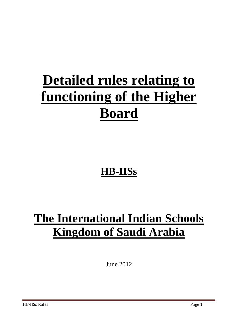# **Detailed rules relating to functioning of the Higher Board**

## **HB-IISs**

## **The International Indian Schools Kingdom of Saudi Arabia**

June 2012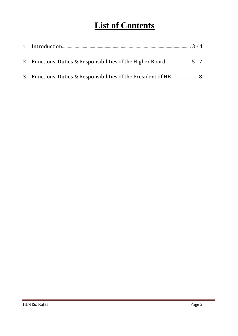### **List of Contents**

| 2. Functions, Duties & Responsibilities of the Higher Board5 - 7 |  |
|------------------------------------------------------------------|--|
|                                                                  |  |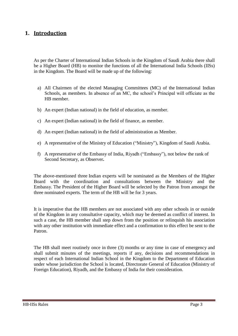#### **1. Introduction**

As per the Charter of International Indian Schools in the Kingdom of Saudi Arabia there shall be a Higher Board (HB) to monitor the functions of all the International India Schools (IISs) in the Kingdom. The Board will be made up of the following:

- a) All Chairmen of the elected Managing Committees (MC) of the International Indian Schools, as members. In absence of an MC, the school's Principal will officiate as the HB member.
- b) An expert (Indian national) in the field of education, as member.
- c) An expert (Indian national) in the field of finance, as member.
- d) An expert (Indian national) in the field of administration as Member.
- e) A representative of the Ministry of Education ("Ministry"), Kingdom of Saudi Arabia.
- f) A representative of the Embassy of India, Riyadh ("Embassy"), not below the rank of Second Secretary, as Observer**.**

The above-mentioned three Indian experts will be nominated as the Members of the Higher Board with the coordination and consultations between the Ministry and the Embassy. The President of the Higher Board will be selected by the Patron from amongst the three nominated experts. The term of the HB will be for 3 years.

It is imperative that the HB members are not associated with any other schools in or outside of the Kingdom in any consultative capacity, which may be deemed as conflict of interest. In such a case, the HB member shall step down from the position or relinquish his association with any other institution with immediate effect and a confirmation to this effect be sent to the Patron.

The HB shall meet routinely once in three (3) months or any time in case of emergency and shall submit minutes of the meetings, reports if any, decisions and recommendations in respect of each International Indian School in the Kingdom to the Department of Education under whose jurisdiction the School is located, Directorate General of Education (Ministry of Foreign Education), Riyadh, and the Embassy of India for their consideration.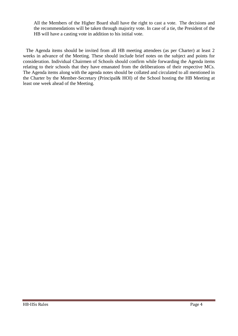All the Members of the Higher Board shall have the right to cast a vote. The decisions and the recommendations will be taken through majority vote. In case of a tie, the President of the HB will have a casting vote in addition to his initial vote.

The Agenda items should be invited from all HB meeting attendees (as per Charter) at least 2 weeks in advance of the Meeting. These should include brief notes on the subject and points for consideration. Individual Chairmen of Schools should confirm while forwarding the Agenda items relating to their schools that they have emanated from the deliberations of their respective MCs. The Agenda items along with the agenda notes should be collated and circulated to all mentioned in the Charter by the Member-Secretary (Principal& HOI) of the School hosting the HB Meeting at least one week ahead of the Meeting.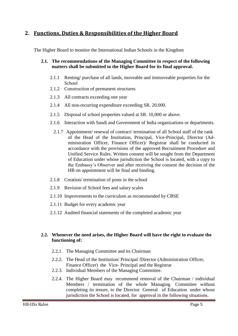#### **2. Functions, Duties & Responsibilities of the Higher Board**

The Higher Board to monitor the International Indian Schools in the Kingdom

#### **2.1. The recommendations of the Managing Committee in respect of the following matters shall be submitted to the Higher Board for its final approval.**

- 2.1.1 Renting/ purchase of all lands, moveable and immoveable properties for the **School**
- 2.1.2 Construction of permanent structures
- 2.1.3 All contracts exceeding one year
- 2.1.4 All non-recurring expenditure exceeding SR. 20,000.
- 2.1.5 Disposal of school properties valued at SR. 10,000 or above.
- 2.1.6 Interaction with Saudi and Government of India organizations or departments.
	- 2.1.7 Appointment/ renewal of contract/ termination of all School staff of the rank of the Head of the Institution, Principal, Vice-Principal, Director (Administration Officer, Finance Officer)/ Registrar shall be conducted in accordance with the provisions of the approved Recruitment Procedure and Unified Service Rules. Written consent will be sought from the Department of Education under whose jurisdiction the School is located, with a copy to the Embassy's Observer and after receiving the consent the decision of the HB on appointment will be final and binding.
- 2.1.8 Creation/ termination of posts in the school
- 2.1.9 Revision of School fees and salary scales
- 2.1.10 Improvements to the curriculum as recommended by CBSE
- 2.1.11 Budget for every academic year
- 2.1.12 Audited financial statements of the completed academic year

#### **2.2. Whenever the need arises, the Higher Board will have the right to evaluate the functioning of:**

- 2.2.1. The Managing Committee and its Chairman
- 2.2.2. The Head of the Institution/ Principal /Director (Administration Officer, Finance Officer) the Vice- Principal and the Registrar
- 2.2.3. Individual Members of the Managing Committee.
- 2.2.4. The Higher Board may recommend removal of the Chairman / individual Members / termination of the whole Managing Committee without completing its tenure, to the Director General of Education under whose jurisdiction the School is located, for approval in the following situations.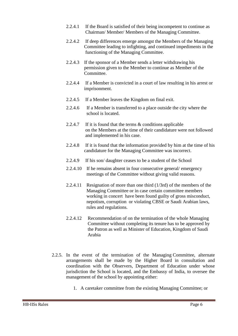- 2.2.4.1 If the Board is satisfied of their being incompetent to continue as Chairman/ Member/ Members of the Managing Committee.
- 2.2.4.2 If deep differences emerge amongst the Members of the Managing Committee leading to infighting, and continued impediments in the functioning of the Managing Committee.
- 2.2.4.3 If the sponsor of a Member sends a letter withdrawing his permission given to the Member to continue as Member of the Committee.
- 2.2.4.4 If a Member is convicted in a court of law resulting in his arrest or imprisonment.
- 2.2.4.5 If a Member leaves the Kingdom on final exit.
- 2.2.4.6 If a Member is transferred to a place outside the city where the school is located.
- 2.2.4.7 If it is found that the terms & conditions applicable on the Members at the time of their candidature were not followed and implemented in his case.
- 2.2.4.8 If it is found that the information provided by him at the time of his candidature for the Managing Committee was incorrect.
- 2.2.4.9 If his son/ daughter ceases to be a student of the School
- 2.2.4.10 If he remains absent in four consecutive general/ emergency meetings of the Committee without giving valid reasons.
- 2.2.4.11 Resignation of more than one third (1/3rd) of the members of the Managing Committee or in case certain committee members working in concert have been found guilty of gross misconduct, nepotism, corruption or violating CBSE or Saudi Arabian laws, rules and regulations.
- 2.2.4.12 Recommendation of on the termination of the whole Managing Committee without completing its tenure has to be approved by the Patron as well as Minister of Education, Kingdom of Saudi Arabia
- 2.2.5. In the event of the termination of the Managing Committee, alternate arrangements shall be made by the Higher Board in consultation and coordination with the Observers, Department of Education under whose jurisdiction the School is located, and the Embassy of India, to oversee the management of the school by appointing either:
	- 1. A caretaker committee from the existing Managing Committee; or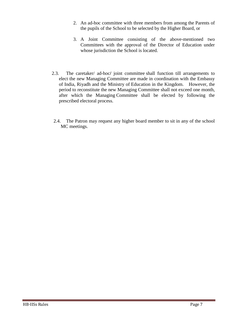- 2. An ad-hoc committee with three members from among the Parents of the pupils of the School to be selected by the Higher Board, or
- 3. A Joint Committee consisting of the above-mentioned two Committees with the approval of the Director of Education under whose jurisdiction the School is located.
- 2.3. The caretaker/ ad-hoc**/** joint committee shall function till arrangements to elect the new Managing Committee are made in coordination with the Embassy of India, Riyadh and the Ministry of Education in the Kingdom. However, the period to reconstitute the new Managing Committee shall not exceed one month, after which the Managing Committee shall be elected by following the prescribed electoral process.
- 2.4. The Patron may request any higher board member to sit in any of the school MC meetings.